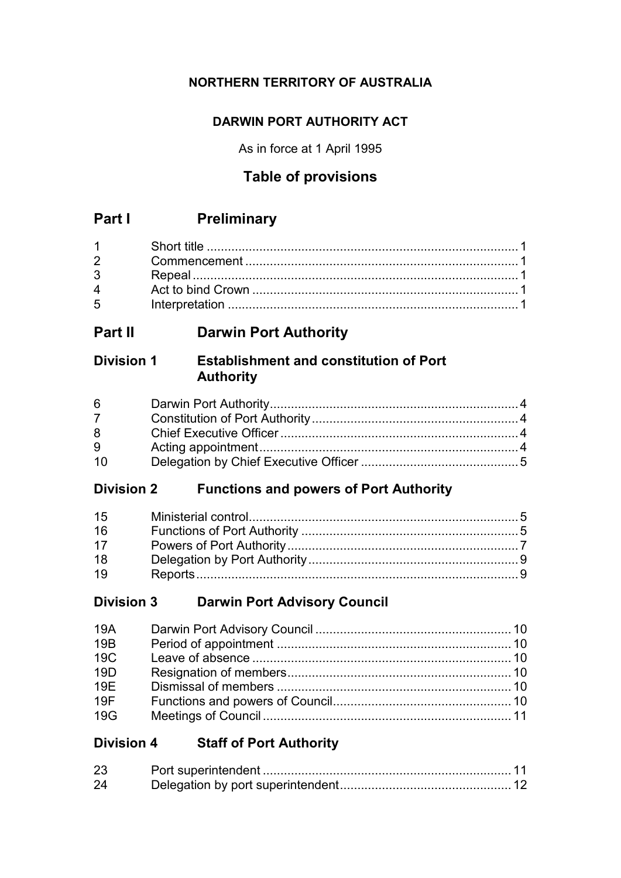# **NORTHERN TERRITORY OF AUSTRALIA**

# **DARWIN PORT AUTHORITY ACT**

As in force at 1 April 1995

# **Table of provisions**

# **Part I Preliminary**

| $3 \quad \blacksquare$ |  |
|------------------------|--|
|                        |  |
| $5^{\circ}$            |  |

# **Part II Darwin Port Authority**

# **Division 1 Establishment and constitution of Port Authority**

| $6 \qquad$ |  |
|------------|--|
|            |  |
| 8          |  |
| 9          |  |
| 10         |  |

# **Division 2 Functions and powers of Port Authority**

| 15 |  |
|----|--|
| 16 |  |
| 17 |  |
| 18 |  |
| 19 |  |

# **Division 3 Darwin Port Advisory Council**

| <b>19A</b>      |  |
|-----------------|--|
| 19 <sub>B</sub> |  |
| <b>19C</b>      |  |
| 19D             |  |
| 19E             |  |
| 19F             |  |
| 19G             |  |

# **Division 4 Staff of Port Authority**

| 23 |  |
|----|--|
| 24 |  |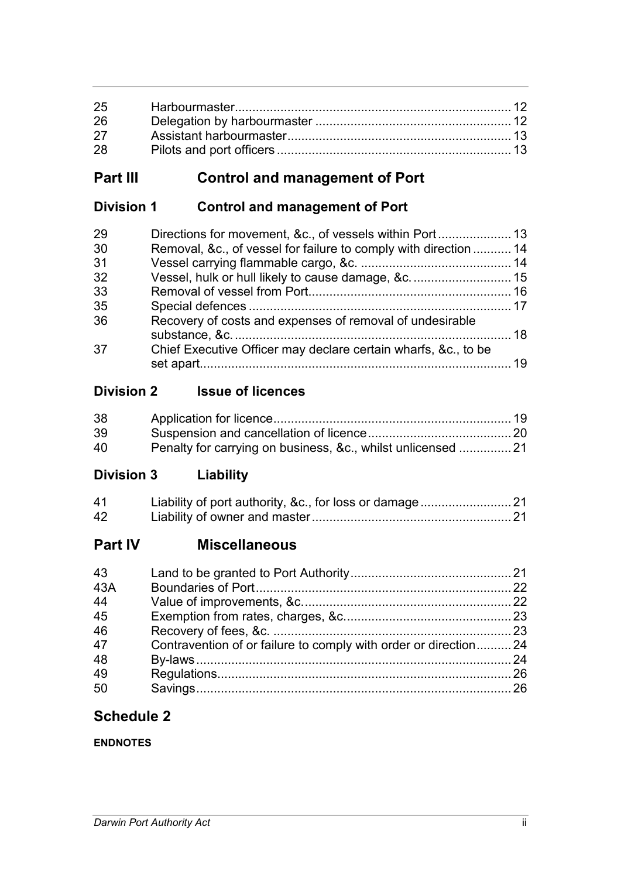| 26 |  |
|----|--|
| 27 |  |
| 28 |  |

# **Part III Control and management of Port**

# **Division 1 Control and management of Port**

| Removal, &c., of vessel for failure to comply with direction  14 |  |
|------------------------------------------------------------------|--|
|                                                                  |  |
| Vessel, hulk or hull likely to cause damage, &c 15               |  |
|                                                                  |  |
|                                                                  |  |
| Recovery of costs and expenses of removal of undesirable         |  |
| Chief Executive Officer may declare certain wharfs, &c., to be   |  |
|                                                                  |  |

# **Division 2 Issue of licences**

| 38 |                                                             |  |
|----|-------------------------------------------------------------|--|
| 39 |                                                             |  |
| 40 | Penalty for carrying on business, &c., whilst unlicensed 21 |  |

# **Division 3 Liability**

| 41 |  |
|----|--|
| 42 |  |

# **Part IV Miscellaneous**

| 43  |                                                                 |  |
|-----|-----------------------------------------------------------------|--|
| 43A |                                                                 |  |
| 44  |                                                                 |  |
| 45  |                                                                 |  |
| 46  |                                                                 |  |
| 47  | Contravention of or failure to comply with order or direction24 |  |
| 48  |                                                                 |  |
| 49  |                                                                 |  |
| 50  |                                                                 |  |

# **Schedule 2**

# **ENDNOTES**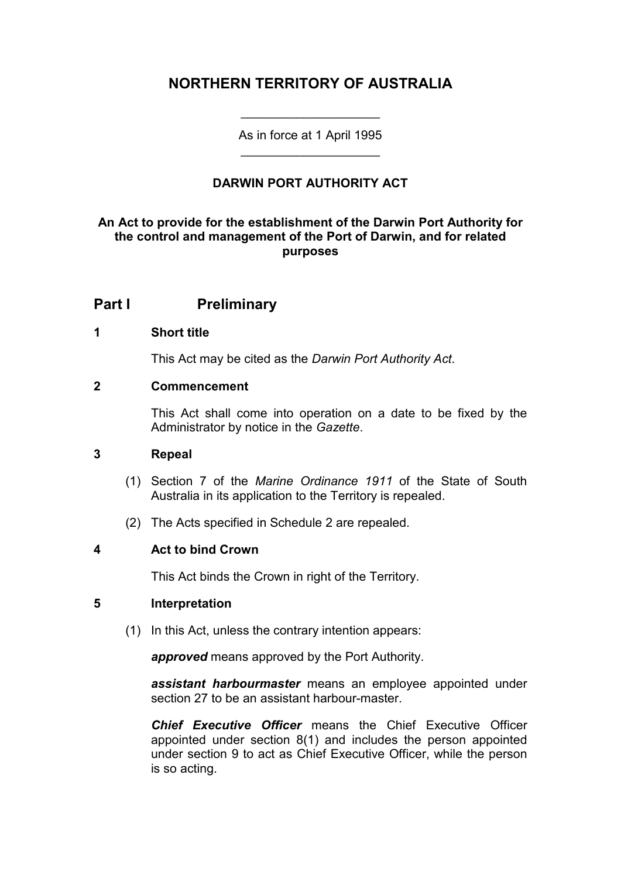# **NORTHERN TERRITORY OF AUSTRALIA**

As in force at 1 April 1995 \_\_\_\_\_\_\_\_\_\_\_\_\_\_\_\_\_\_\_\_

\_\_\_\_\_\_\_\_\_\_\_\_\_\_\_\_\_\_\_\_

# **DARWIN PORT AUTHORITY ACT**

# **An Act to provide for the establishment of the Darwin Port Authority for the control and management of the Port of Darwin, and for related purposes**

# **Part I Preliminary**

# **1 Short title**

This Act may be cited as the *Darwin Port Authority Act*.

# **2 Commencement**

This Act shall come into operation on a date to be fixed by the Administrator by notice in the *Gazette*.

# **3 Repeal**

- (1) Section 7 of the *Marine Ordinance 1911* of the State of South Australia in its application to the Territory is repealed.
- (2) The Acts specified in Schedule 2 are repealed.

# **4 Act to bind Crown**

This Act binds the Crown in right of the Territory.

# **5 Interpretation**

(1) In this Act, unless the contrary intention appears:

*approved* means approved by the Port Authority.

*assistant harbourmaster* means an employee appointed under section 27 to be an assistant harbour-master.

*Chief Executive Officer* means the Chief Executive Officer appointed under section 8(1) and includes the person appointed under section 9 to act as Chief Executive Officer, while the person is so acting.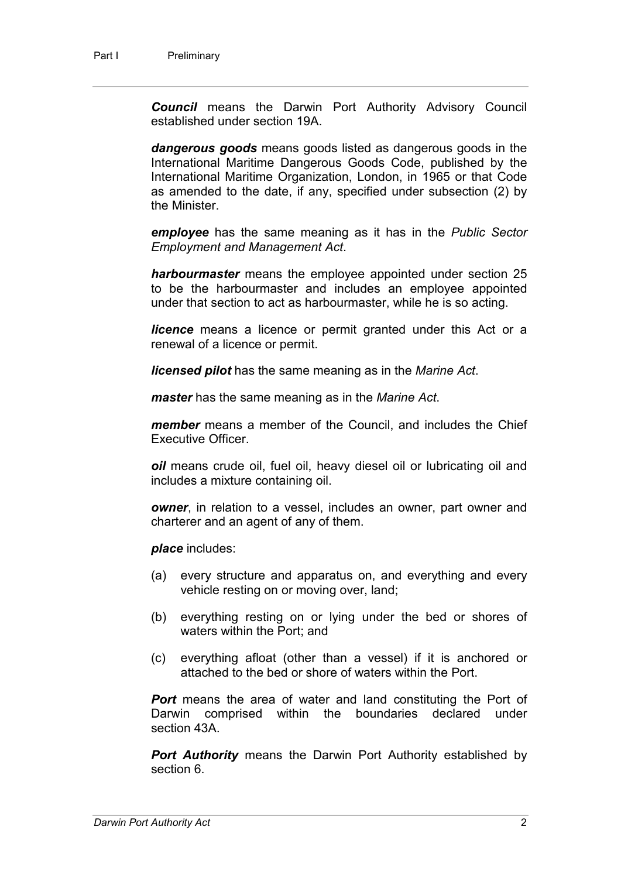*Council* means the Darwin Port Authority Advisory Council established under section 19A.

*dangerous goods* means goods listed as dangerous goods in the International Maritime Dangerous Goods Code, published by the International Maritime Organization, London, in 1965 or that Code as amended to the date, if any, specified under subsection (2) by the Minister.

*employee* has the same meaning as it has in the *Public Sector Employment and Management Act*.

*harbourmaster* means the employee appointed under section 25 to be the harbourmaster and includes an employee appointed under that section to act as harbourmaster, while he is so acting.

*licence* means a licence or permit granted under this Act or a renewal of a licence or permit.

*licensed pilot* has the same meaning as in the *Marine Act*.

*master* has the same meaning as in the *Marine Act*.

*member* means a member of the Council, and includes the Chief Executive Officer.

*oil* means crude oil, fuel oil, heavy diesel oil or lubricating oil and includes a mixture containing oil.

*owner*, in relation to a vessel, includes an owner, part owner and charterer and an agent of any of them.

*place* includes:

- (a) every structure and apparatus on, and everything and every vehicle resting on or moving over, land;
- (b) everything resting on or lying under the bed or shores of waters within the Port; and
- (c) everything afloat (other than a vessel) if it is anchored or attached to the bed or shore of waters within the Port.

*Port* means the area of water and land constituting the Port of Darwin comprised within the boundaries declared under section 43A.

*Port Authority* means the Darwin Port Authority established by section 6.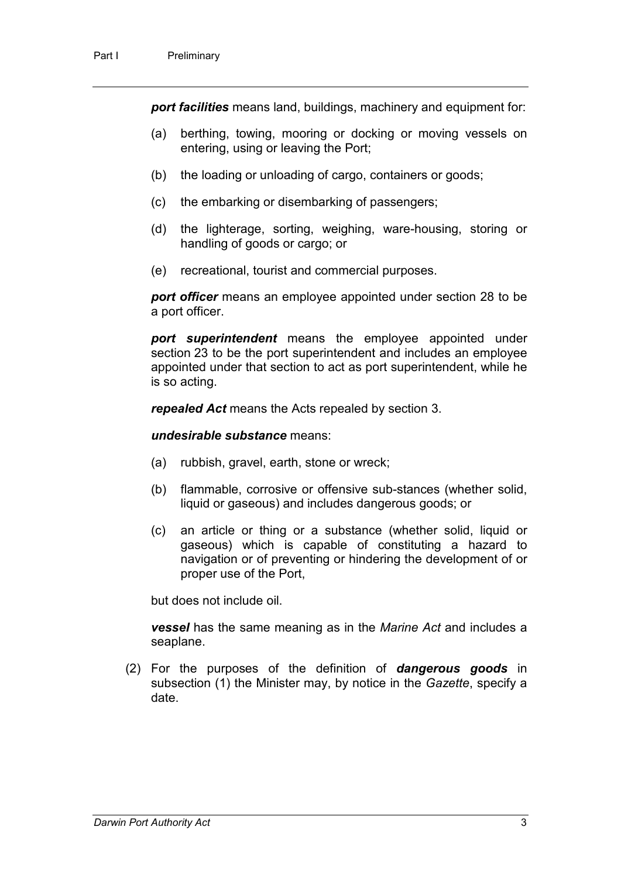*port facilities* means land, buildings, machinery and equipment for:

- (a) berthing, towing, mooring or docking or moving vessels on entering, using or leaving the Port;
- (b) the loading or unloading of cargo, containers or goods;
- (c) the embarking or disembarking of passengers;
- (d) the lighterage, sorting, weighing, ware-housing, storing or handling of goods or cargo; or
- (e) recreational, tourist and commercial purposes.

*port officer* means an employee appointed under section 28 to be a port officer.

*port superintendent* means the employee appointed under section 23 to be the port superintendent and includes an employee appointed under that section to act as port superintendent, while he is so acting.

*repealed Act* means the Acts repealed by section 3.

*undesirable substance* means:

- (a) rubbish, gravel, earth, stone or wreck;
- (b) flammable, corrosive or offensive sub-stances (whether solid, liquid or gaseous) and includes dangerous goods; or
- (c) an article or thing or a substance (whether solid, liquid or gaseous) which is capable of constituting a hazard to navigation or of preventing or hindering the development of or proper use of the Port,

but does not include oil.

*vessel* has the same meaning as in the *Marine Act* and includes a seaplane.

(2) For the purposes of the definition of *dangerous goods* in subsection (1) the Minister may, by notice in the *Gazette*, specify a date.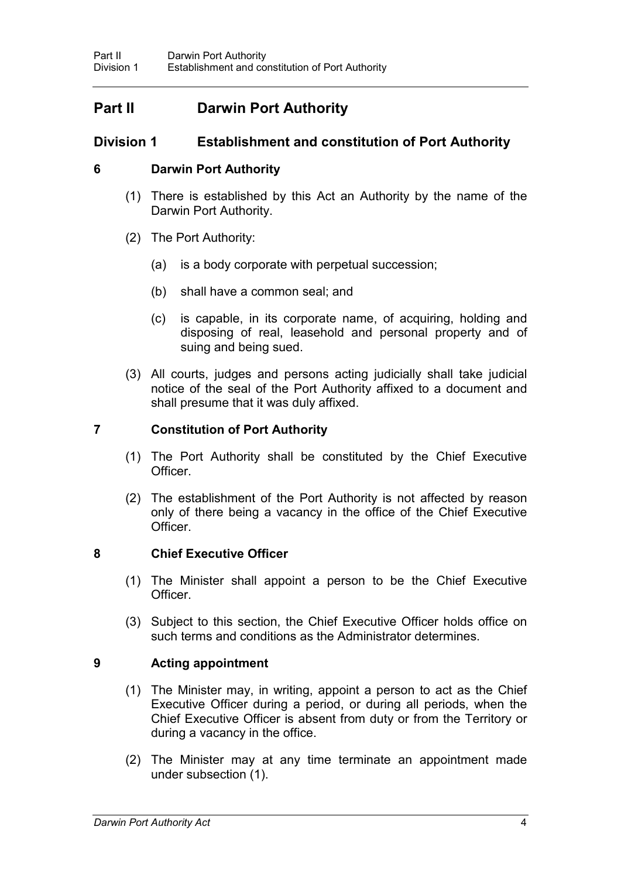# **Part II Darwin Port Authority**

# **Division 1 Establishment and constitution of Port Authority**

# **6 Darwin Port Authority**

- (1) There is established by this Act an Authority by the name of the Darwin Port Authority.
- (2) The Port Authority:
	- (a) is a body corporate with perpetual succession;
	- (b) shall have a common seal; and
	- (c) is capable, in its corporate name, of acquiring, holding and disposing of real, leasehold and personal property and of suing and being sued.
- (3) All courts, judges and persons acting judicially shall take judicial notice of the seal of the Port Authority affixed to a document and shall presume that it was duly affixed.

# **7 Constitution of Port Authority**

- (1) The Port Authority shall be constituted by the Chief Executive Officer.
- (2) The establishment of the Port Authority is not affected by reason only of there being a vacancy in the office of the Chief Executive Officer.

# **8 Chief Executive Officer**

- (1) The Minister shall appoint a person to be the Chief Executive Officer.
- (3) Subject to this section, the Chief Executive Officer holds office on such terms and conditions as the Administrator determines.

# **9 Acting appointment**

- (1) The Minister may, in writing, appoint a person to act as the Chief Executive Officer during a period, or during all periods, when the Chief Executive Officer is absent from duty or from the Territory or during a vacancy in the office.
- (2) The Minister may at any time terminate an appointment made under subsection (1).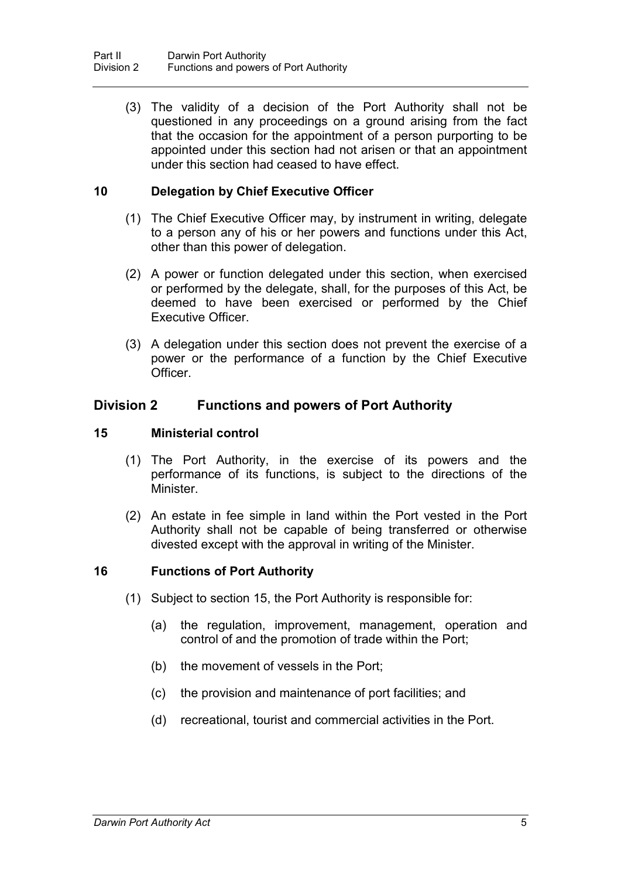(3) The validity of a decision of the Port Authority shall not be questioned in any proceedings on a ground arising from the fact that the occasion for the appointment of a person purporting to be appointed under this section had not arisen or that an appointment under this section had ceased to have effect.

# **10 Delegation by Chief Executive Officer**

- (1) The Chief Executive Officer may, by instrument in writing, delegate to a person any of his or her powers and functions under this Act, other than this power of delegation.
- (2) A power or function delegated under this section, when exercised or performed by the delegate, shall, for the purposes of this Act, be deemed to have been exercised or performed by the Chief Executive Officer.
- (3) A delegation under this section does not prevent the exercise of a power or the performance of a function by the Chief Executive **Officer**

# **Division 2 Functions and powers of Port Authority**

# **15 Ministerial control**

- (1) The Port Authority, in the exercise of its powers and the performance of its functions, is subject to the directions of the Minister.
- (2) An estate in fee simple in land within the Port vested in the Port Authority shall not be capable of being transferred or otherwise divested except with the approval in writing of the Minister.

# **16 Functions of Port Authority**

- (1) Subject to section 15, the Port Authority is responsible for:
	- (a) the regulation, improvement, management, operation and control of and the promotion of trade within the Port;
	- (b) the movement of vessels in the Port;
	- (c) the provision and maintenance of port facilities; and
	- (d) recreational, tourist and commercial activities in the Port.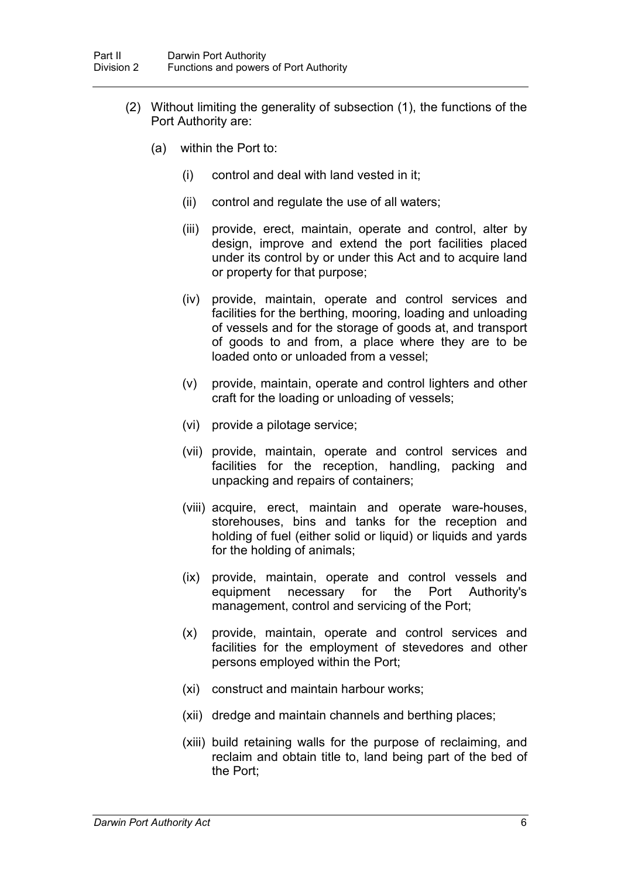- (2) Without limiting the generality of subsection (1), the functions of the Port Authority are:
	- (a) within the Port to:
		- (i) control and deal with land vested in it;
		- (ii) control and regulate the use of all waters;
		- (iii) provide, erect, maintain, operate and control, alter by design, improve and extend the port facilities placed under its control by or under this Act and to acquire land or property for that purpose;
		- (iv) provide, maintain, operate and control services and facilities for the berthing, mooring, loading and unloading of vessels and for the storage of goods at, and transport of goods to and from, a place where they are to be loaded onto or unloaded from a vessel;
		- (v) provide, maintain, operate and control lighters and other craft for the loading or unloading of vessels;
		- (vi) provide a pilotage service;
		- (vii) provide, maintain, operate and control services and facilities for the reception, handling, packing and unpacking and repairs of containers;
		- (viii) acquire, erect, maintain and operate ware-houses, storehouses, bins and tanks for the reception and holding of fuel (either solid or liquid) or liquids and yards for the holding of animals;
		- (ix) provide, maintain, operate and control vessels and equipment necessary for the Port Authority's management, control and servicing of the Port;
		- (x) provide, maintain, operate and control services and facilities for the employment of stevedores and other persons employed within the Port;
		- (xi) construct and maintain harbour works;
		- (xii) dredge and maintain channels and berthing places;
		- (xiii) build retaining walls for the purpose of reclaiming, and reclaim and obtain title to, land being part of the bed of the Port;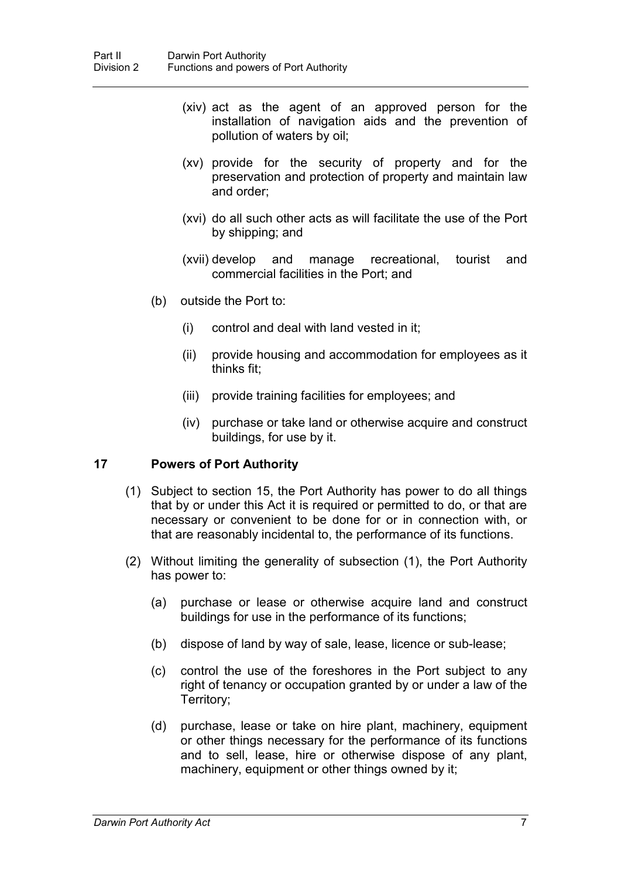- (xiv) act as the agent of an approved person for the installation of navigation aids and the prevention of pollution of waters by oil;
- (xv) provide for the security of property and for the preservation and protection of property and maintain law and order;
- (xvi) do all such other acts as will facilitate the use of the Port by shipping; and
- (xvii) develop and manage recreational, tourist and commercial facilities in the Port; and
- (b) outside the Port to:
	- (i) control and deal with land vested in it;
	- (ii) provide housing and accommodation for employees as it thinks fit;
	- (iii) provide training facilities for employees; and
	- (iv) purchase or take land or otherwise acquire and construct buildings, for use by it.

# **17 Powers of Port Authority**

- (1) Subject to section 15, the Port Authority has power to do all things that by or under this Act it is required or permitted to do, or that are necessary or convenient to be done for or in connection with, or that are reasonably incidental to, the performance of its functions.
- (2) Without limiting the generality of subsection (1), the Port Authority has power to:
	- (a) purchase or lease or otherwise acquire land and construct buildings for use in the performance of its functions;
	- (b) dispose of land by way of sale, lease, licence or sub-lease;
	- (c) control the use of the foreshores in the Port subject to any right of tenancy or occupation granted by or under a law of the Territory;
	- (d) purchase, lease or take on hire plant, machinery, equipment or other things necessary for the performance of its functions and to sell, lease, hire or otherwise dispose of any plant, machinery, equipment or other things owned by it;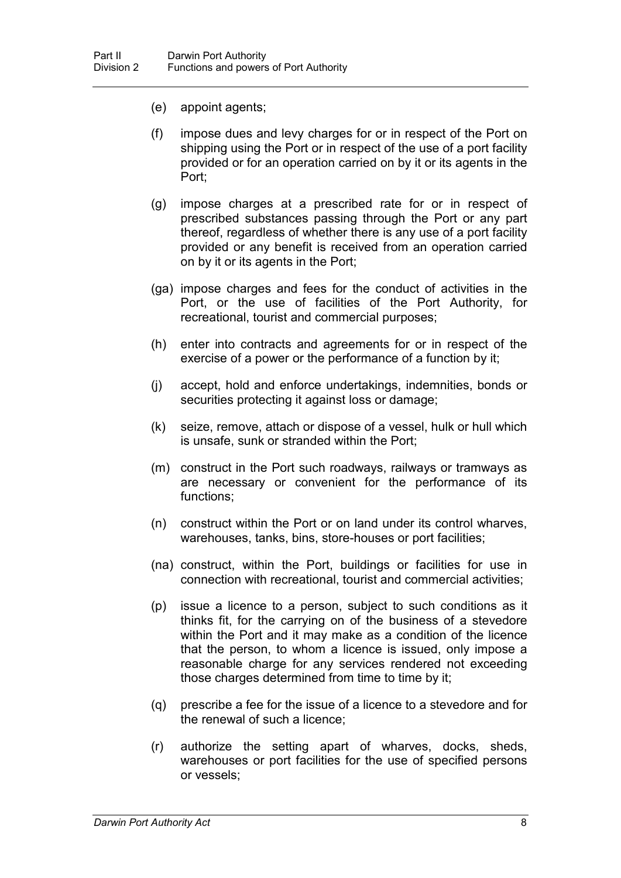- (e) appoint agents;
- (f) impose dues and levy charges for or in respect of the Port on shipping using the Port or in respect of the use of a port facility provided or for an operation carried on by it or its agents in the Port;
- (g) impose charges at a prescribed rate for or in respect of prescribed substances passing through the Port or any part thereof, regardless of whether there is any use of a port facility provided or any benefit is received from an operation carried on by it or its agents in the Port;
- (ga) impose charges and fees for the conduct of activities in the Port, or the use of facilities of the Port Authority, for recreational, tourist and commercial purposes;
- (h) enter into contracts and agreements for or in respect of the exercise of a power or the performance of a function by it;
- (j) accept, hold and enforce undertakings, indemnities, bonds or securities protecting it against loss or damage;
- (k) seize, remove, attach or dispose of a vessel, hulk or hull which is unsafe, sunk or stranded within the Port;
- (m) construct in the Port such roadways, railways or tramways as are necessary or convenient for the performance of its functions;
- (n) construct within the Port or on land under its control wharves, warehouses, tanks, bins, store-houses or port facilities;
- (na) construct, within the Port, buildings or facilities for use in connection with recreational, tourist and commercial activities;
- (p) issue a licence to a person, subject to such conditions as it thinks fit, for the carrying on of the business of a stevedore within the Port and it may make as a condition of the licence that the person, to whom a licence is issued, only impose a reasonable charge for any services rendered not exceeding those charges determined from time to time by it;
- (q) prescribe a fee for the issue of a licence to a stevedore and for the renewal of such a licence;
- (r) authorize the setting apart of wharves, docks, sheds, warehouses or port facilities for the use of specified persons or vessels;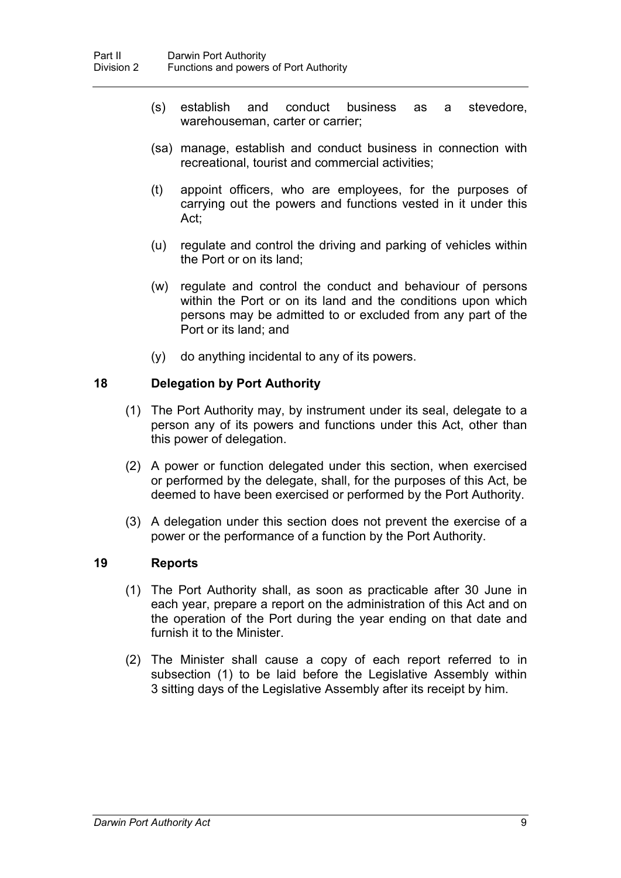- (s) establish and conduct business as a stevedore, warehouseman, carter or carrier;
- (sa) manage, establish and conduct business in connection with recreational, tourist and commercial activities;
- (t) appoint officers, who are employees, for the purposes of carrying out the powers and functions vested in it under this Act;
- (u) regulate and control the driving and parking of vehicles within the Port or on its land;
- (w) regulate and control the conduct and behaviour of persons within the Port or on its land and the conditions upon which persons may be admitted to or excluded from any part of the Port or its land; and
- (y) do anything incidental to any of its powers.

# **18 Delegation by Port Authority**

- (1) The Port Authority may, by instrument under its seal, delegate to a person any of its powers and functions under this Act, other than this power of delegation.
- (2) A power or function delegated under this section, when exercised or performed by the delegate, shall, for the purposes of this Act, be deemed to have been exercised or performed by the Port Authority.
- (3) A delegation under this section does not prevent the exercise of a power or the performance of a function by the Port Authority.

#### **19 Reports**

- (1) The Port Authority shall, as soon as practicable after 30 June in each year, prepare a report on the administration of this Act and on the operation of the Port during the year ending on that date and furnish it to the Minister.
- (2) The Minister shall cause a copy of each report referred to in subsection (1) to be laid before the Legislative Assembly within 3 sitting days of the Legislative Assembly after its receipt by him.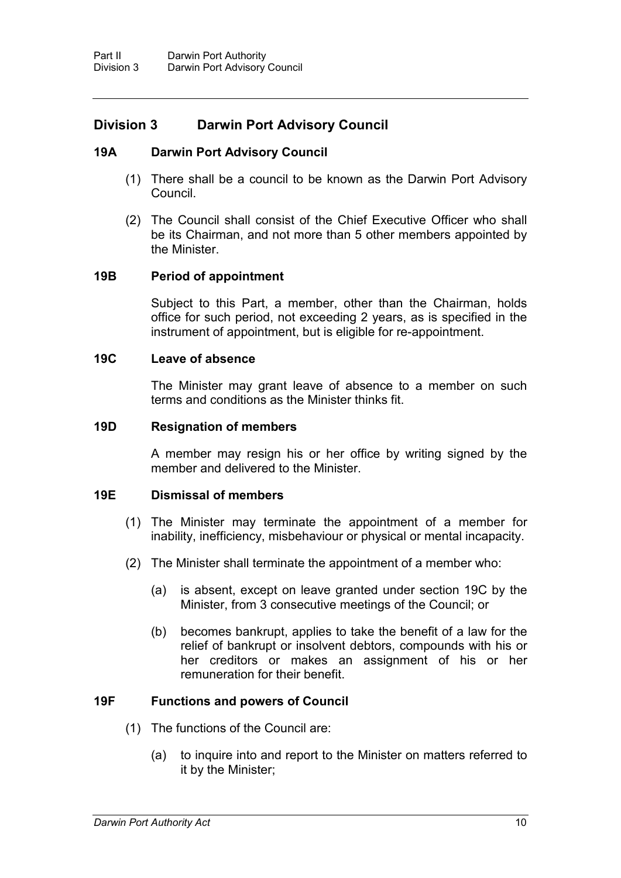# **Division 3 Darwin Port Advisory Council**

# **19A Darwin Port Advisory Council**

- (1) There shall be a council to be known as the Darwin Port Advisory Council.
- (2) The Council shall consist of the Chief Executive Officer who shall be its Chairman, and not more than 5 other members appointed by the Minister.

# **19B Period of appointment**

Subject to this Part, a member, other than the Chairman, holds office for such period, not exceeding 2 years, as is specified in the instrument of appointment, but is eligible for re-appointment.

# **19C Leave of absence**

The Minister may grant leave of absence to a member on such terms and conditions as the Minister thinks fit.

#### **19D Resignation of members**

A member may resign his or her office by writing signed by the member and delivered to the Minister.

# **19E Dismissal of members**

- (1) The Minister may terminate the appointment of a member for inability, inefficiency, misbehaviour or physical or mental incapacity.
- (2) The Minister shall terminate the appointment of a member who:
	- (a) is absent, except on leave granted under section 19C by the Minister, from 3 consecutive meetings of the Council; or
	- (b) becomes bankrupt, applies to take the benefit of a law for the relief of bankrupt or insolvent debtors, compounds with his or her creditors or makes an assignment of his or her remuneration for their benefit.

# **19F Functions and powers of Council**

- (1) The functions of the Council are:
	- (a) to inquire into and report to the Minister on matters referred to it by the Minister;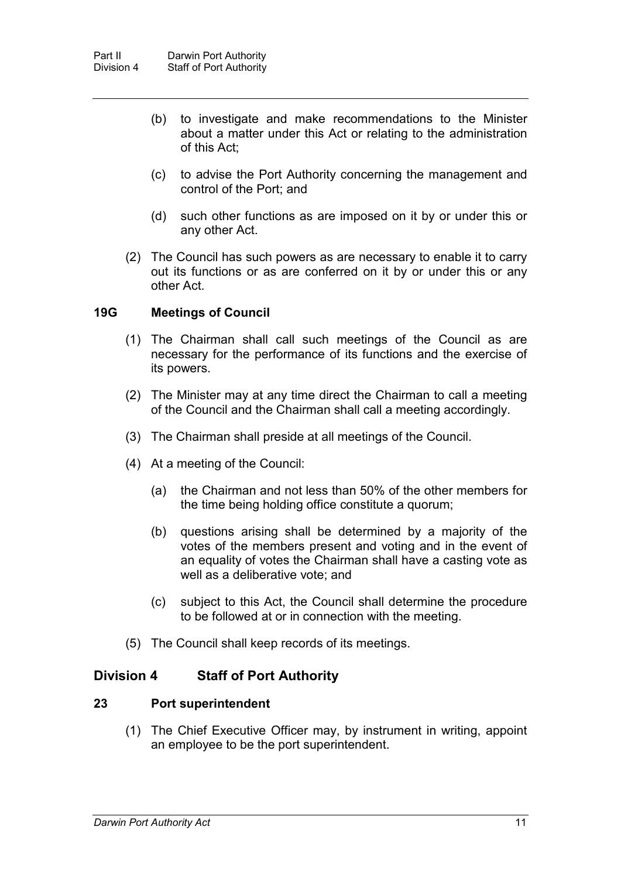- (b) to investigate and make recommendations to the Minister about a matter under this Act or relating to the administration of this Act;
- (c) to advise the Port Authority concerning the management and control of the Port; and
- (d) such other functions as are imposed on it by or under this or any other Act.
- (2) The Council has such powers as are necessary to enable it to carry out its functions or as are conferred on it by or under this or any other Act.

#### **19G Meetings of Council**

- (1) The Chairman shall call such meetings of the Council as are necessary for the performance of its functions and the exercise of its powers.
- (2) The Minister may at any time direct the Chairman to call a meeting of the Council and the Chairman shall call a meeting accordingly.
- (3) The Chairman shall preside at all meetings of the Council.
- (4) At a meeting of the Council:
	- (a) the Chairman and not less than 50% of the other members for the time being holding office constitute a quorum;
	- (b) questions arising shall be determined by a majority of the votes of the members present and voting and in the event of an equality of votes the Chairman shall have a casting vote as well as a deliberative vote; and
	- (c) subject to this Act, the Council shall determine the procedure to be followed at or in connection with the meeting.
- (5) The Council shall keep records of its meetings.

# **Division 4 Staff of Port Authority**

# **23 Port superintendent**

(1) The Chief Executive Officer may, by instrument in writing, appoint an employee to be the port superintendent.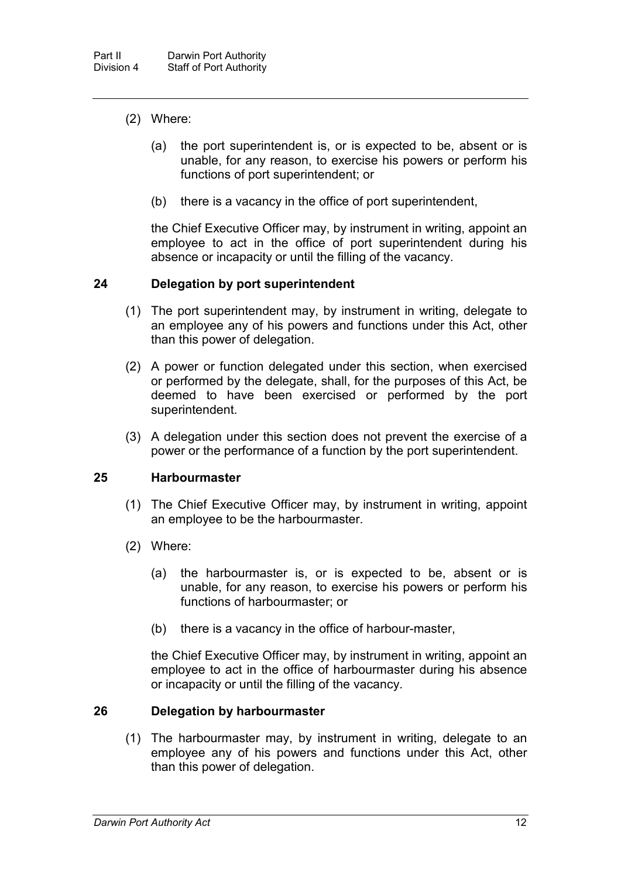- (2) Where:
	- (a) the port superintendent is, or is expected to be, absent or is unable, for any reason, to exercise his powers or perform his functions of port superintendent; or
	- (b) there is a vacancy in the office of port superintendent,

the Chief Executive Officer may, by instrument in writing, appoint an employee to act in the office of port superintendent during his absence or incapacity or until the filling of the vacancy.

#### **24 Delegation by port superintendent**

- (1) The port superintendent may, by instrument in writing, delegate to an employee any of his powers and functions under this Act, other than this power of delegation.
- (2) A power or function delegated under this section, when exercised or performed by the delegate, shall, for the purposes of this Act, be deemed to have been exercised or performed by the port superintendent.
- (3) A delegation under this section does not prevent the exercise of a power or the performance of a function by the port superintendent.

#### **25 Harbourmaster**

- (1) The Chief Executive Officer may, by instrument in writing, appoint an employee to be the harbourmaster.
- (2) Where:
	- (a) the harbourmaster is, or is expected to be, absent or is unable, for any reason, to exercise his powers or perform his functions of harbourmaster; or
	- (b) there is a vacancy in the office of harbour-master,

the Chief Executive Officer may, by instrument in writing, appoint an employee to act in the office of harbourmaster during his absence or incapacity or until the filling of the vacancy.

# **26 Delegation by harbourmaster**

(1) The harbourmaster may, by instrument in writing, delegate to an employee any of his powers and functions under this Act, other than this power of delegation.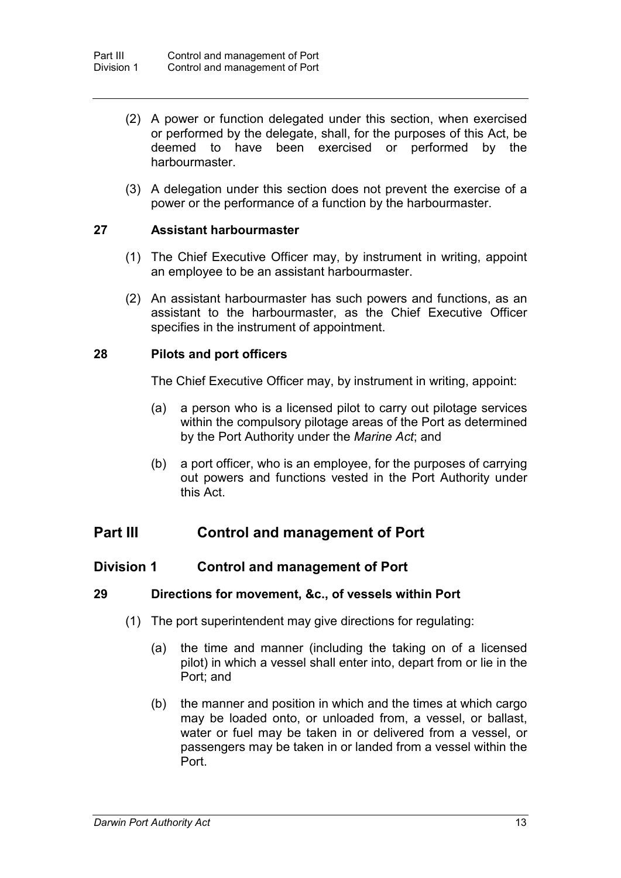- (2) A power or function delegated under this section, when exercised or performed by the delegate, shall, for the purposes of this Act, be deemed to have been exercised or performed by the harbourmaster.
- (3) A delegation under this section does not prevent the exercise of a power or the performance of a function by the harbourmaster.

# **27 Assistant harbourmaster**

- (1) The Chief Executive Officer may, by instrument in writing, appoint an employee to be an assistant harbourmaster.
- (2) An assistant harbourmaster has such powers and functions, as an assistant to the harbourmaster, as the Chief Executive Officer specifies in the instrument of appointment.

#### **28 Pilots and port officers**

The Chief Executive Officer may, by instrument in writing, appoint:

- (a) a person who is a licensed pilot to carry out pilotage services within the compulsory pilotage areas of the Port as determined by the Port Authority under the *Marine Act*; and
- (b) a port officer, who is an employee, for the purposes of carrying out powers and functions vested in the Port Authority under this Act.

# **Part III Control and management of Port**

# **Division 1 Control and management of Port**

# **29 Directions for movement, &c., of vessels within Port**

- (1) The port superintendent may give directions for regulating:
	- (a) the time and manner (including the taking on of a licensed pilot) in which a vessel shall enter into, depart from or lie in the Port; and
	- (b) the manner and position in which and the times at which cargo may be loaded onto, or unloaded from, a vessel, or ballast, water or fuel may be taken in or delivered from a vessel, or passengers may be taken in or landed from a vessel within the Port.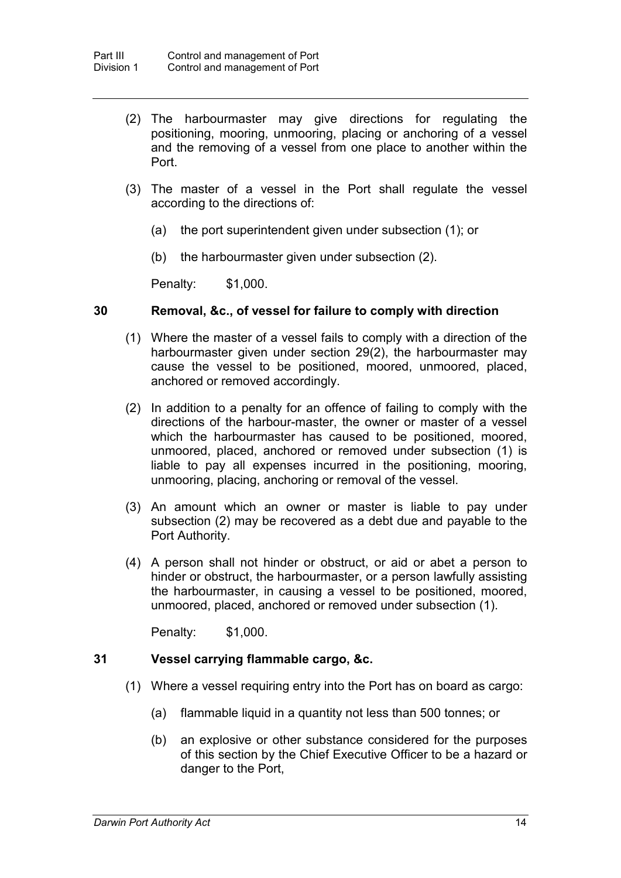- (2) The harbourmaster may give directions for regulating the positioning, mooring, unmooring, placing or anchoring of a vessel and the removing of a vessel from one place to another within the Port.
- (3) The master of a vessel in the Port shall regulate the vessel according to the directions of:
	- (a) the port superintendent given under subsection (1); or
	- (b) the harbourmaster given under subsection (2).

Penalty: \$1,000.

#### **30 Removal, &c., of vessel for failure to comply with direction**

- (1) Where the master of a vessel fails to comply with a direction of the harbourmaster given under section 29(2), the harbourmaster may cause the vessel to be positioned, moored, unmoored, placed, anchored or removed accordingly.
- (2) In addition to a penalty for an offence of failing to comply with the directions of the harbour-master, the owner or master of a vessel which the harbourmaster has caused to be positioned, moored, unmoored, placed, anchored or removed under subsection (1) is liable to pay all expenses incurred in the positioning, mooring, unmooring, placing, anchoring or removal of the vessel.
- (3) An amount which an owner or master is liable to pay under subsection (2) may be recovered as a debt due and payable to the Port Authority.
- (4) A person shall not hinder or obstruct, or aid or abet a person to hinder or obstruct, the harbourmaster, or a person lawfully assisting the harbourmaster, in causing a vessel to be positioned, moored, unmoored, placed, anchored or removed under subsection (1).

Penalty: \$1,000.

# **31 Vessel carrying flammable cargo, &c.**

- (1) Where a vessel requiring entry into the Port has on board as cargo:
	- (a) flammable liquid in a quantity not less than 500 tonnes; or
	- (b) an explosive or other substance considered for the purposes of this section by the Chief Executive Officer to be a hazard or danger to the Port,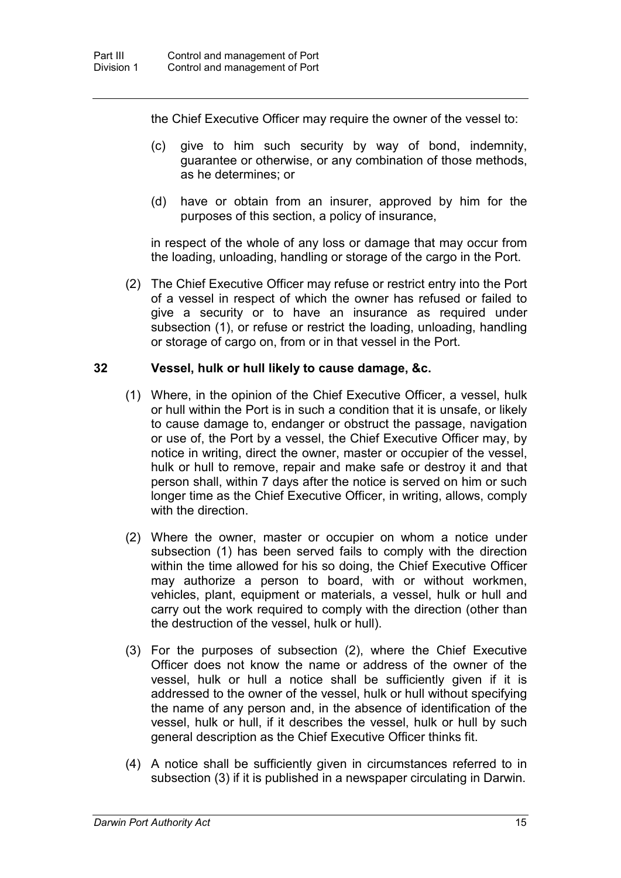the Chief Executive Officer may require the owner of the vessel to:

- (c) give to him such security by way of bond, indemnity, guarantee or otherwise, or any combination of those methods, as he determines; or
- (d) have or obtain from an insurer, approved by him for the purposes of this section, a policy of insurance,

in respect of the whole of any loss or damage that may occur from the loading, unloading, handling or storage of the cargo in the Port.

(2) The Chief Executive Officer may refuse or restrict entry into the Port of a vessel in respect of which the owner has refused or failed to give a security or to have an insurance as required under subsection (1), or refuse or restrict the loading, unloading, handling or storage of cargo on, from or in that vessel in the Port.

# **32 Vessel, hulk or hull likely to cause damage, &c.**

- (1) Where, in the opinion of the Chief Executive Officer, a vessel, hulk or hull within the Port is in such a condition that it is unsafe, or likely to cause damage to, endanger or obstruct the passage, navigation or use of, the Port by a vessel, the Chief Executive Officer may, by notice in writing, direct the owner, master or occupier of the vessel, hulk or hull to remove, repair and make safe or destroy it and that person shall, within 7 days after the notice is served on him or such longer time as the Chief Executive Officer, in writing, allows, comply with the direction
- (2) Where the owner, master or occupier on whom a notice under subsection (1) has been served fails to comply with the direction within the time allowed for his so doing, the Chief Executive Officer may authorize a person to board, with or without workmen, vehicles, plant, equipment or materials, a vessel, hulk or hull and carry out the work required to comply with the direction (other than the destruction of the vessel, hulk or hull).
- (3) For the purposes of subsection (2), where the Chief Executive Officer does not know the name or address of the owner of the vessel, hulk or hull a notice shall be sufficiently given if it is addressed to the owner of the vessel, hulk or hull without specifying the name of any person and, in the absence of identification of the vessel, hulk or hull, if it describes the vessel, hulk or hull by such general description as the Chief Executive Officer thinks fit.
- (4) A notice shall be sufficiently given in circumstances referred to in subsection (3) if it is published in a newspaper circulating in Darwin.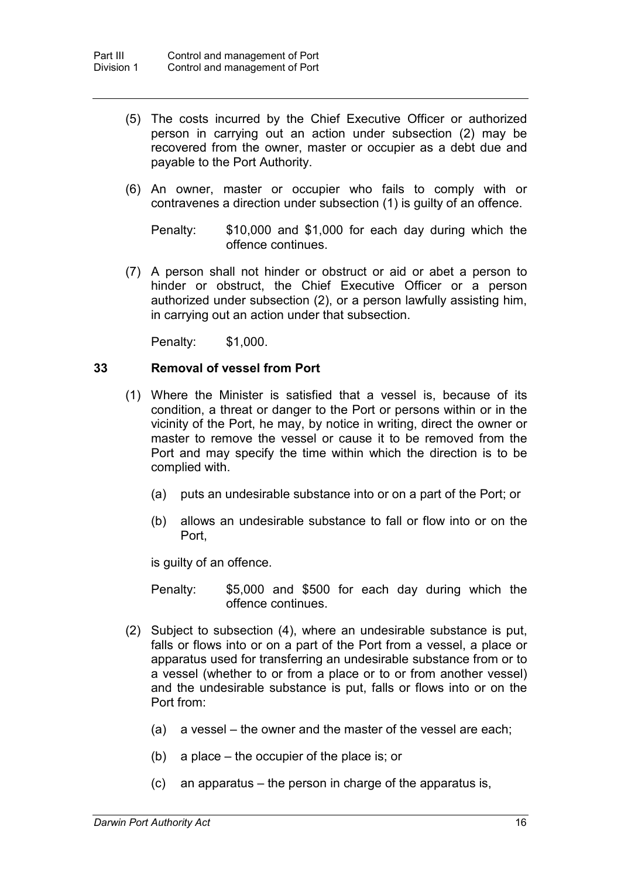- (5) The costs incurred by the Chief Executive Officer or authorized person in carrying out an action under subsection (2) may be recovered from the owner, master or occupier as a debt due and payable to the Port Authority.
- (6) An owner, master or occupier who fails to comply with or contravenes a direction under subsection (1) is guilty of an offence.

Penalty: \$10,000 and \$1,000 for each day during which the offence continues.

(7) A person shall not hinder or obstruct or aid or abet a person to hinder or obstruct, the Chief Executive Officer or a person authorized under subsection (2), or a person lawfully assisting him, in carrying out an action under that subsection.

Penalty: \$1,000.

#### **33 Removal of vessel from Port**

- (1) Where the Minister is satisfied that a vessel is, because of its condition, a threat or danger to the Port or persons within or in the vicinity of the Port, he may, by notice in writing, direct the owner or master to remove the vessel or cause it to be removed from the Port and may specify the time within which the direction is to be complied with.
	- (a) puts an undesirable substance into or on a part of the Port; or
	- (b) allows an undesirable substance to fall or flow into or on the Port,

is guilty of an offence.

Penalty: \$5,000 and \$500 for each day during which the offence continues.

- (2) Subject to subsection (4), where an undesirable substance is put, falls or flows into or on a part of the Port from a vessel, a place or apparatus used for transferring an undesirable substance from or to a vessel (whether to or from a place or to or from another vessel) and the undesirable substance is put, falls or flows into or on the Port from:
	- (a) a vessel the owner and the master of the vessel are each;
	- (b) a place the occupier of the place is; or
	- (c) an apparatus the person in charge of the apparatus is,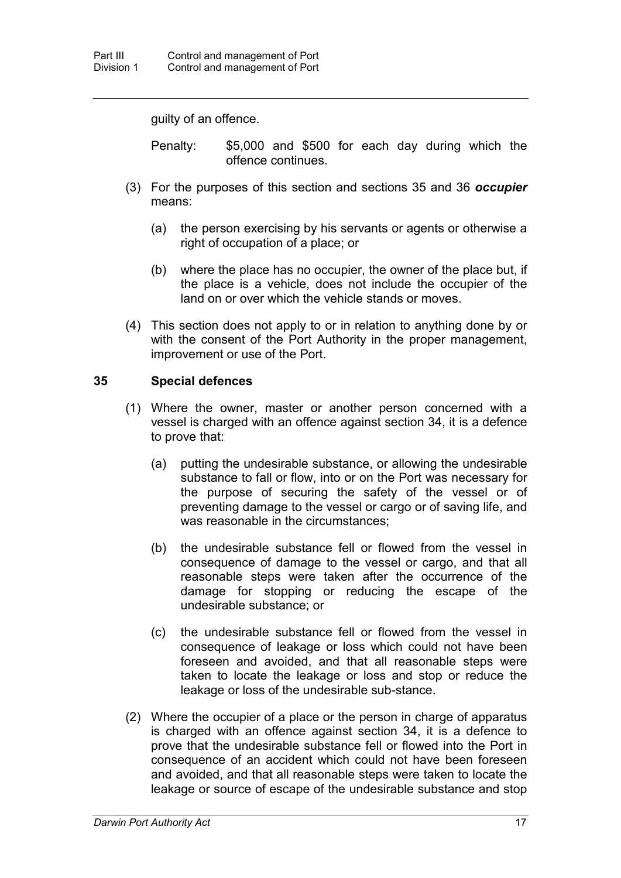guilty of an offence.

Penalty: \$5,000 and \$500 for each day during which the offence continues.

- (3) For the purposes of this section and sections 35 and 36 *occupier* means:
	- (a) the person exercising by his servants or agents or otherwise a right of occupation of a place; or
	- (b) where the place has no occupier, the owner of the place but, if the place is a vehicle, does not include the occupier of the land on or over which the vehicle stands or moves.
- (4) This section does not apply to or in relation to anything done by or with the consent of the Port Authority in the proper management, improvement or use of the Port.

# **35 Special defences**

- (1) Where the owner, master or another person concerned with a vessel is charged with an offence against section 34, it is a defence to prove that:
	- (a) putting the undesirable substance, or allowing the undesirable substance to fall or flow, into or on the Port was necessary for the purpose of securing the safety of the vessel or of preventing damage to the vessel or cargo or of saving life, and was reasonable in the circumstances;
	- (b) the undesirable substance fell or flowed from the vessel in consequence of damage to the vessel or cargo, and that all reasonable steps were taken after the occurrence of the damage for stopping or reducing the escape of the undesirable substance; or
	- (c) the undesirable substance fell or flowed from the vessel in consequence of leakage or loss which could not have been foreseen and avoided, and that all reasonable steps were taken to locate the leakage or loss and stop or reduce the leakage or loss of the undesirable sub-stance.
- (2) Where the occupier of a place or the person in charge of apparatus is charged with an offence against section 34, it is a defence to prove that the undesirable substance fell or flowed into the Port in consequence of an accident which could not have been foreseen and avoided, and that all reasonable steps were taken to locate the leakage or source of escape of the undesirable substance and stop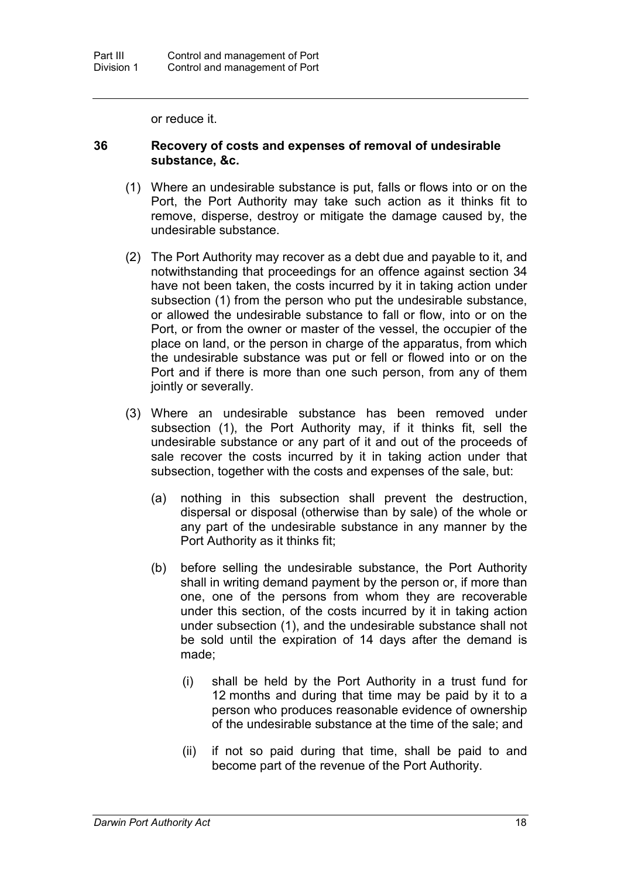or reduce it.

#### **36 Recovery of costs and expenses of removal of undesirable substance, &c.**

- (1) Where an undesirable substance is put, falls or flows into or on the Port, the Port Authority may take such action as it thinks fit to remove, disperse, destroy or mitigate the damage caused by, the undesirable substance.
- (2) The Port Authority may recover as a debt due and payable to it, and notwithstanding that proceedings for an offence against section 34 have not been taken, the costs incurred by it in taking action under subsection (1) from the person who put the undesirable substance, or allowed the undesirable substance to fall or flow, into or on the Port, or from the owner or master of the vessel, the occupier of the place on land, or the person in charge of the apparatus, from which the undesirable substance was put or fell or flowed into or on the Port and if there is more than one such person, from any of them jointly or severally.
- (3) Where an undesirable substance has been removed under subsection (1), the Port Authority may, if it thinks fit, sell the undesirable substance or any part of it and out of the proceeds of sale recover the costs incurred by it in taking action under that subsection, together with the costs and expenses of the sale, but:
	- (a) nothing in this subsection shall prevent the destruction, dispersal or disposal (otherwise than by sale) of the whole or any part of the undesirable substance in any manner by the Port Authority as it thinks fit;
	- (b) before selling the undesirable substance, the Port Authority shall in writing demand payment by the person or, if more than one, one of the persons from whom they are recoverable under this section, of the costs incurred by it in taking action under subsection (1), and the undesirable substance shall not be sold until the expiration of 14 days after the demand is made;
		- (i) shall be held by the Port Authority in a trust fund for 12 months and during that time may be paid by it to a person who produces reasonable evidence of ownership of the undesirable substance at the time of the sale; and
		- (ii) if not so paid during that time, shall be paid to and become part of the revenue of the Port Authority.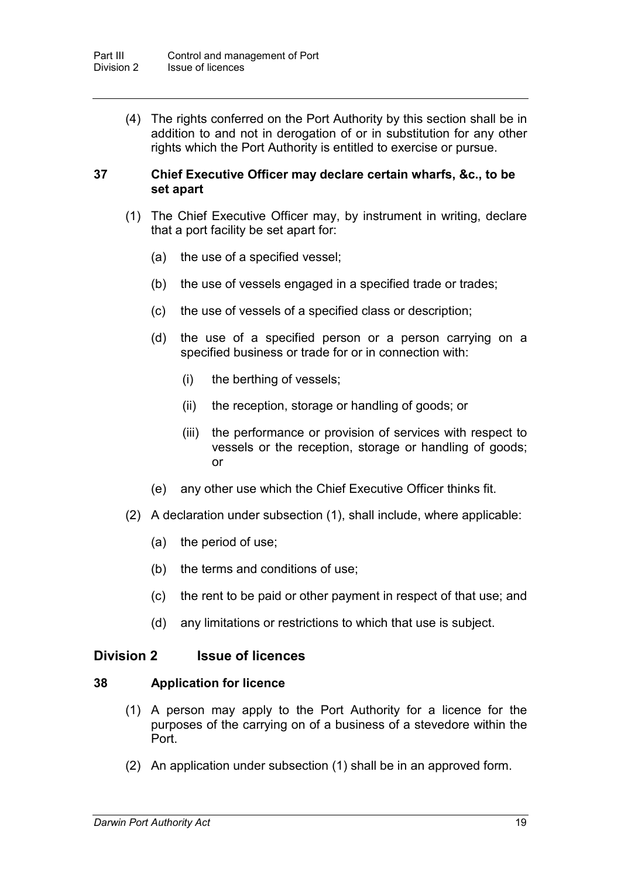(4) The rights conferred on the Port Authority by this section shall be in addition to and not in derogation of or in substitution for any other rights which the Port Authority is entitled to exercise or pursue.

### **37 Chief Executive Officer may declare certain wharfs, &c., to be set apart**

- (1) The Chief Executive Officer may, by instrument in writing, declare that a port facility be set apart for:
	- (a) the use of a specified vessel;
	- (b) the use of vessels engaged in a specified trade or trades;
	- (c) the use of vessels of a specified class or description;
	- (d) the use of a specified person or a person carrying on a specified business or trade for or in connection with:
		- (i) the berthing of vessels;
		- (ii) the reception, storage or handling of goods; or
		- (iii) the performance or provision of services with respect to vessels or the reception, storage or handling of goods; or
	- (e) any other use which the Chief Executive Officer thinks fit.
- (2) A declaration under subsection (1), shall include, where applicable:
	- (a) the period of use;
	- (b) the terms and conditions of use;
	- (c) the rent to be paid or other payment in respect of that use; and
	- (d) any limitations or restrictions to which that use is subject.

# **Division 2 Issue of licences**

# **38 Application for licence**

- (1) A person may apply to the Port Authority for a licence for the purposes of the carrying on of a business of a stevedore within the Port.
- (2) An application under subsection (1) shall be in an approved form.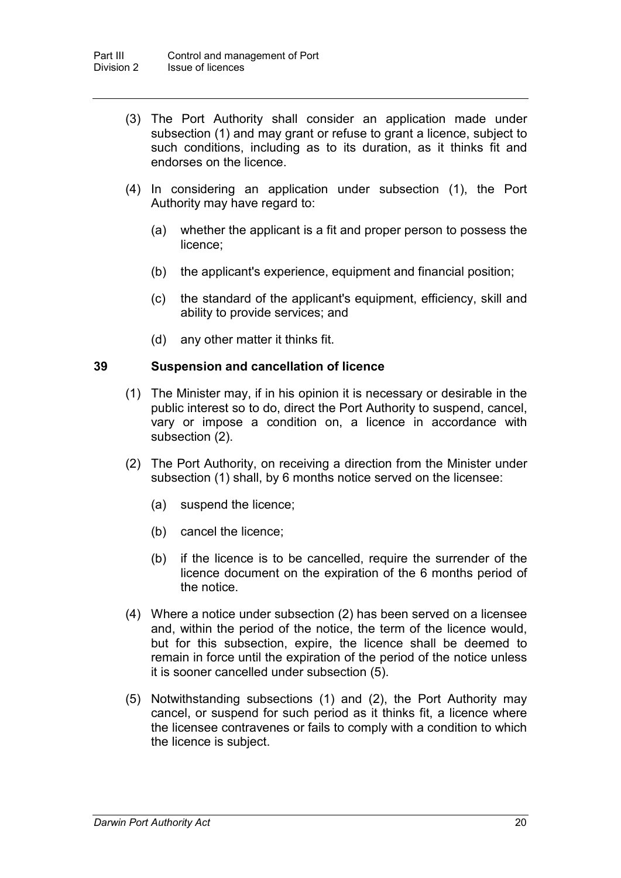- (3) The Port Authority shall consider an application made under subsection (1) and may grant or refuse to grant a licence, subject to such conditions, including as to its duration, as it thinks fit and endorses on the licence.
- (4) In considering an application under subsection (1), the Port Authority may have regard to:
	- (a) whether the applicant is a fit and proper person to possess the licence;
	- (b) the applicant's experience, equipment and financial position;
	- (c) the standard of the applicant's equipment, efficiency, skill and ability to provide services; and
	- (d) any other matter it thinks fit.

# **39 Suspension and cancellation of licence**

- (1) The Minister may, if in his opinion it is necessary or desirable in the public interest so to do, direct the Port Authority to suspend, cancel, vary or impose a condition on, a licence in accordance with subsection (2).
- (2) The Port Authority, on receiving a direction from the Minister under subsection (1) shall, by 6 months notice served on the licensee:
	- (a) suspend the licence;
	- (b) cancel the licence;
	- (b) if the licence is to be cancelled, require the surrender of the licence document on the expiration of the 6 months period of the notice.
- (4) Where a notice under subsection (2) has been served on a licensee and, within the period of the notice, the term of the licence would, but for this subsection, expire, the licence shall be deemed to remain in force until the expiration of the period of the notice unless it is sooner cancelled under subsection (5).
- (5) Notwithstanding subsections (1) and (2), the Port Authority may cancel, or suspend for such period as it thinks fit, a licence where the licensee contravenes or fails to comply with a condition to which the licence is subject.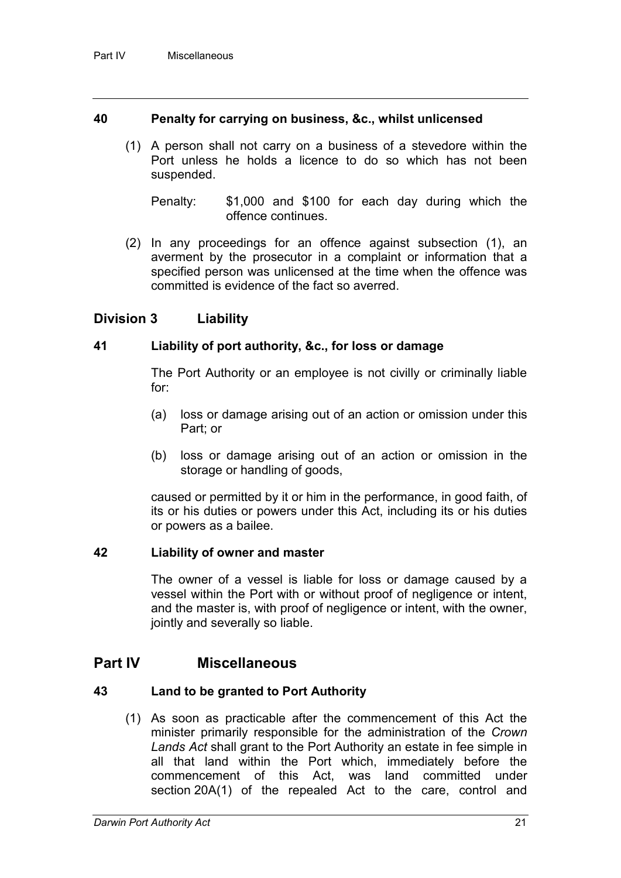# **40 Penalty for carrying on business, &c., whilst unlicensed**

- (1) A person shall not carry on a business of a stevedore within the Port unless he holds a licence to do so which has not been suspended.
	- Penalty: \$1,000 and \$100 for each day during which the offence continues.
- (2) In any proceedings for an offence against subsection (1), an averment by the prosecutor in a complaint or information that a specified person was unlicensed at the time when the offence was committed is evidence of the fact so averred.

# **Division 3 Liability**

# **41 Liability of port authority, &c., for loss or damage**

The Port Authority or an employee is not civilly or criminally liable for:

- (a) loss or damage arising out of an action or omission under this Part; or
- (b) loss or damage arising out of an action or omission in the storage or handling of goods,

caused or permitted by it or him in the performance, in good faith, of its or his duties or powers under this Act, including its or his duties or powers as a bailee.

# **42 Liability of owner and master**

The owner of a vessel is liable for loss or damage caused by a vessel within the Port with or without proof of negligence or intent, and the master is, with proof of negligence or intent, with the owner, jointly and severally so liable.

# **Part IV Miscellaneous**

# **43 Land to be granted to Port Authority**

(1) As soon as practicable after the commencement of this Act the minister primarily responsible for the administration of the *Crown Lands Act* shall grant to the Port Authority an estate in fee simple in all that land within the Port which, immediately before the commencement of this Act, was land committed under section 20A(1) of the repealed Act to the care, control and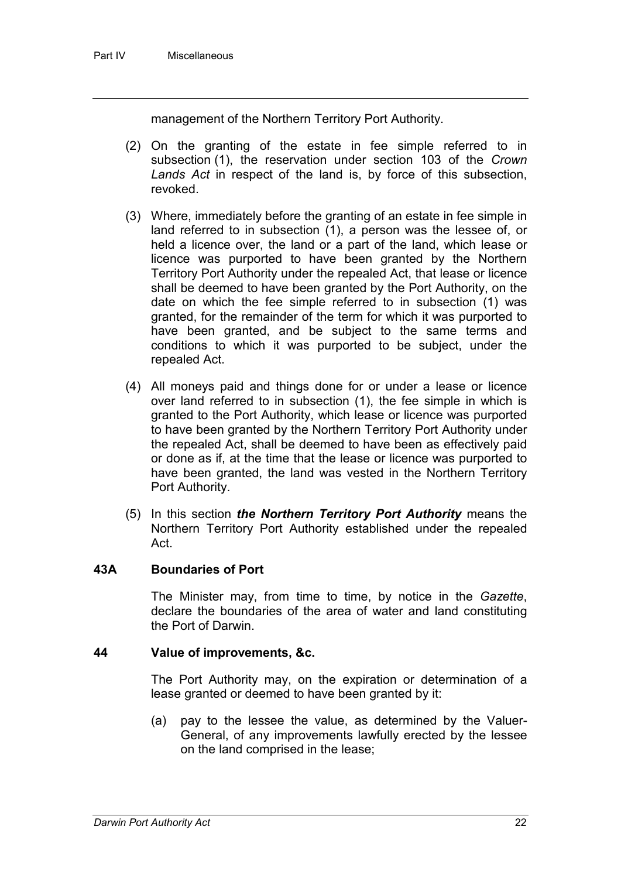management of the Northern Territory Port Authority.

- (2) On the granting of the estate in fee simple referred to in subsection (1), the reservation under section 103 of the *Crown Lands Act* in respect of the land is, by force of this subsection, revoked.
- (3) Where, immediately before the granting of an estate in fee simple in land referred to in subsection (1), a person was the lessee of, or held a licence over, the land or a part of the land, which lease or licence was purported to have been granted by the Northern Territory Port Authority under the repealed Act, that lease or licence shall be deemed to have been granted by the Port Authority, on the date on which the fee simple referred to in subsection (1) was granted, for the remainder of the term for which it was purported to have been granted, and be subject to the same terms and conditions to which it was purported to be subject, under the repealed Act.
- (4) All moneys paid and things done for or under a lease or licence over land referred to in subsection (1), the fee simple in which is granted to the Port Authority, which lease or licence was purported to have been granted by the Northern Territory Port Authority under the repealed Act, shall be deemed to have been as effectively paid or done as if, at the time that the lease or licence was purported to have been granted, the land was vested in the Northern Territory Port Authority.
- (5) In this section *the Northern Territory Port Authority* means the Northern Territory Port Authority established under the repealed Act.

# **43A Boundaries of Port**

The Minister may, from time to time, by notice in the *Gazette*, declare the boundaries of the area of water and land constituting the Port of Darwin.

# **44 Value of improvements, &c.**

The Port Authority may, on the expiration or determination of a lease granted or deemed to have been granted by it:

(a) pay to the lessee the value, as determined by the Valuer-General, of any improvements lawfully erected by the lessee on the land comprised in the lease;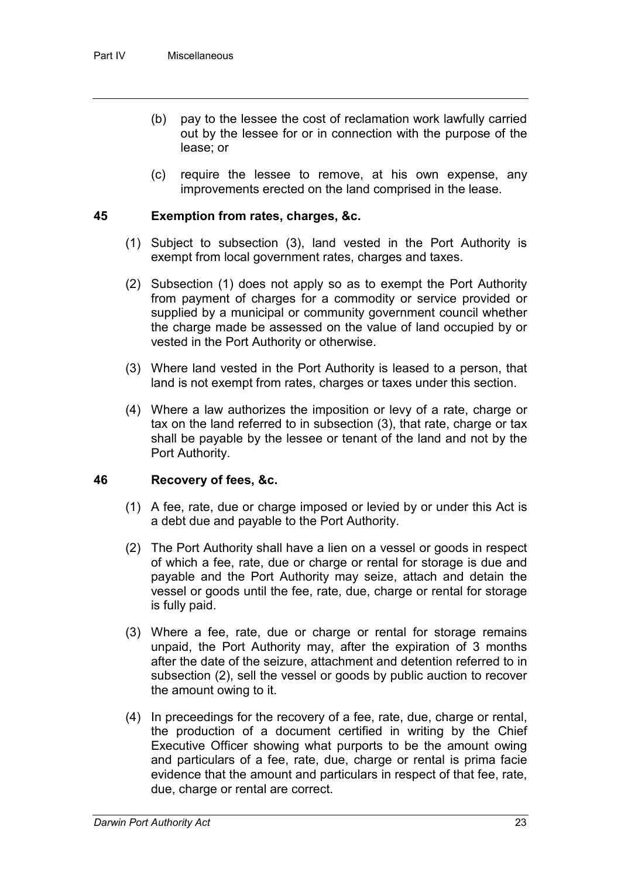- (b) pay to the lessee the cost of reclamation work lawfully carried out by the lessee for or in connection with the purpose of the lease; or
- (c) require the lessee to remove, at his own expense, any improvements erected on the land comprised in the lease.

# **45 Exemption from rates, charges, &c.**

- (1) Subject to subsection (3), land vested in the Port Authority is exempt from local government rates, charges and taxes.
- (2) Subsection (1) does not apply so as to exempt the Port Authority from payment of charges for a commodity or service provided or supplied by a municipal or community government council whether the charge made be assessed on the value of land occupied by or vested in the Port Authority or otherwise.
- (3) Where land vested in the Port Authority is leased to a person, that land is not exempt from rates, charges or taxes under this section.
- (4) Where a law authorizes the imposition or levy of a rate, charge or tax on the land referred to in subsection (3), that rate, charge or tax shall be payable by the lessee or tenant of the land and not by the Port Authority.

# **46 Recovery of fees, &c.**

- (1) A fee, rate, due or charge imposed or levied by or under this Act is a debt due and payable to the Port Authority.
- (2) The Port Authority shall have a lien on a vessel or goods in respect of which a fee, rate, due or charge or rental for storage is due and payable and the Port Authority may seize, attach and detain the vessel or goods until the fee, rate, due, charge or rental for storage is fully paid.
- (3) Where a fee, rate, due or charge or rental for storage remains unpaid, the Port Authority may, after the expiration of 3 months after the date of the seizure, attachment and detention referred to in subsection (2), sell the vessel or goods by public auction to recover the amount owing to it.
- (4) In preceedings for the recovery of a fee, rate, due, charge or rental, the production of a document certified in writing by the Chief Executive Officer showing what purports to be the amount owing and particulars of a fee, rate, due, charge or rental is prima facie evidence that the amount and particulars in respect of that fee, rate, due, charge or rental are correct.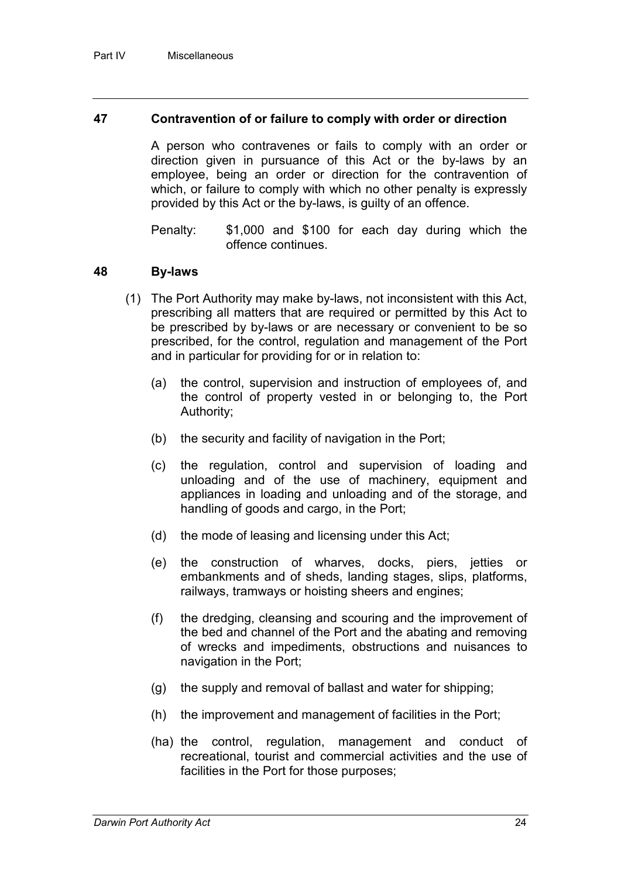# **47 Contravention of or failure to comply with order or direction**

A person who contravenes or fails to comply with an order or direction given in pursuance of this Act or the by-laws by an employee, being an order or direction for the contravention of which, or failure to comply with which no other penalty is expressly provided by this Act or the by-laws, is guilty of an offence.

Penalty: \$1,000 and \$100 for each day during which the offence continues.

#### **48 By-laws**

- (1) The Port Authority may make by-laws, not inconsistent with this Act, prescribing all matters that are required or permitted by this Act to be prescribed by by-laws or are necessary or convenient to be so prescribed, for the control, regulation and management of the Port and in particular for providing for or in relation to:
	- (a) the control, supervision and instruction of employees of, and the control of property vested in or belonging to, the Port Authority;
	- (b) the security and facility of navigation in the Port;
	- (c) the regulation, control and supervision of loading and unloading and of the use of machinery, equipment and appliances in loading and unloading and of the storage, and handling of goods and cargo, in the Port;
	- (d) the mode of leasing and licensing under this Act;
	- (e) the construction of wharves, docks, piers, jetties or embankments and of sheds, landing stages, slips, platforms, railways, tramways or hoisting sheers and engines;
	- (f) the dredging, cleansing and scouring and the improvement of the bed and channel of the Port and the abating and removing of wrecks and impediments, obstructions and nuisances to navigation in the Port;
	- (g) the supply and removal of ballast and water for shipping;
	- (h) the improvement and management of facilities in the Port;
	- (ha) the control, regulation, management and conduct of recreational, tourist and commercial activities and the use of facilities in the Port for those purposes;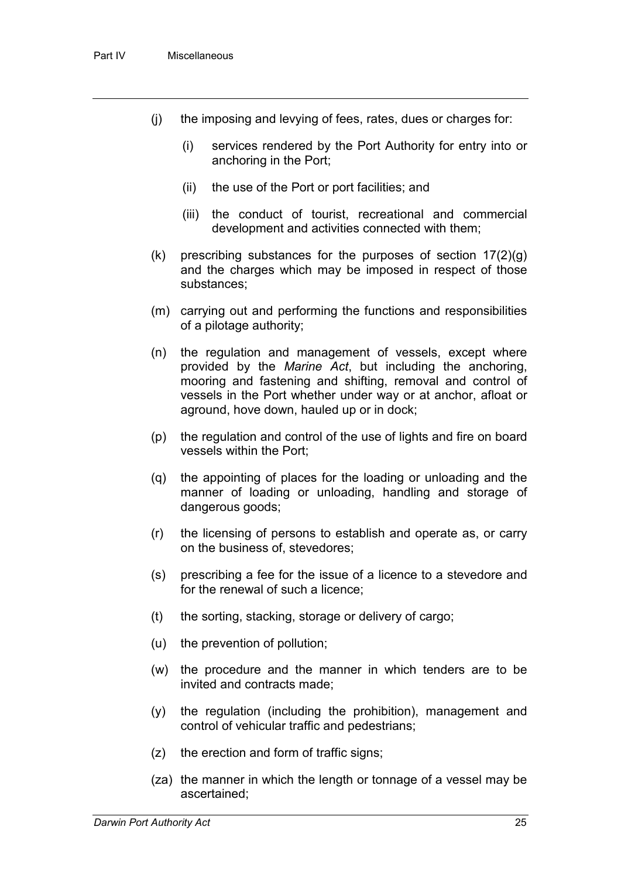- (j) the imposing and levying of fees, rates, dues or charges for:
	- (i) services rendered by the Port Authority for entry into or anchoring in the Port;
	- (ii) the use of the Port or port facilities; and
	- (iii) the conduct of tourist, recreational and commercial development and activities connected with them;
- $(k)$  prescribing substances for the purposes of section  $17(2)(g)$ and the charges which may be imposed in respect of those substances;
- (m) carrying out and performing the functions and responsibilities of a pilotage authority;
- (n) the regulation and management of vessels, except where provided by the *Marine Act*, but including the anchoring, mooring and fastening and shifting, removal and control of vessels in the Port whether under way or at anchor, afloat or aground, hove down, hauled up or in dock;
- (p) the regulation and control of the use of lights and fire on board vessels within the Port;
- (q) the appointing of places for the loading or unloading and the manner of loading or unloading, handling and storage of dangerous goods;
- (r) the licensing of persons to establish and operate as, or carry on the business of, stevedores;
- (s) prescribing a fee for the issue of a licence to a stevedore and for the renewal of such a licence;
- (t) the sorting, stacking, storage or delivery of cargo;
- (u) the prevention of pollution;
- (w) the procedure and the manner in which tenders are to be invited and contracts made;
- (y) the regulation (including the prohibition), management and control of vehicular traffic and pedestrians;
- (z) the erection and form of traffic signs;
- (za) the manner in which the length or tonnage of a vessel may be ascertained;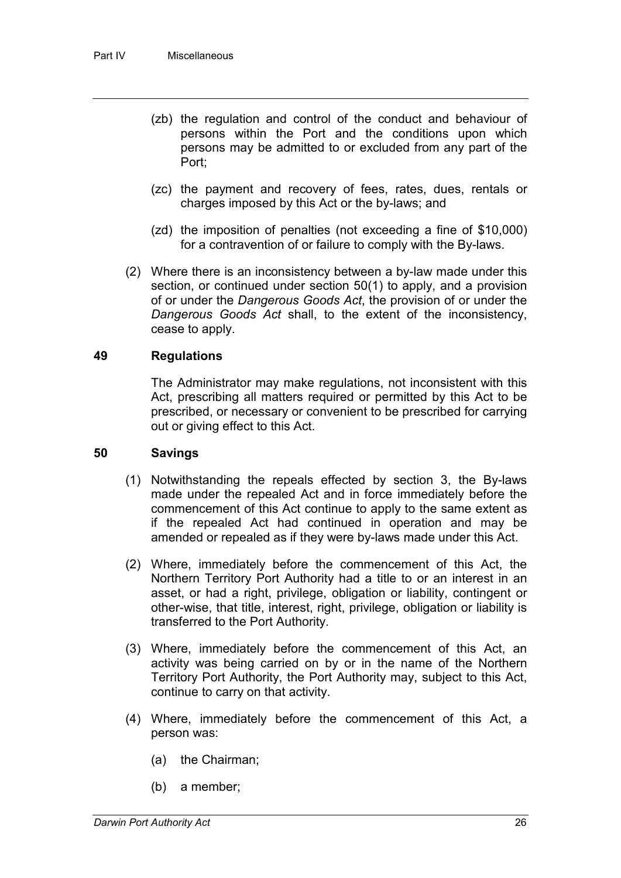- (zb) the regulation and control of the conduct and behaviour of persons within the Port and the conditions upon which persons may be admitted to or excluded from any part of the Port;
- (zc) the payment and recovery of fees, rates, dues, rentals or charges imposed by this Act or the by-laws; and
- (zd) the imposition of penalties (not exceeding a fine of \$10,000) for a contravention of or failure to comply with the By-laws.
- (2) Where there is an inconsistency between a by-law made under this section, or continued under section 50(1) to apply, and a provision of or under the *Dangerous Goods Act*, the provision of or under the *Dangerous Goods Act* shall, to the extent of the inconsistency, cease to apply.

# **49 Regulations**

The Administrator may make regulations, not inconsistent with this Act, prescribing all matters required or permitted by this Act to be prescribed, or necessary or convenient to be prescribed for carrying out or giving effect to this Act.

### **50 Savings**

- (1) Notwithstanding the repeals effected by section 3, the By-laws made under the repealed Act and in force immediately before the commencement of this Act continue to apply to the same extent as if the repealed Act had continued in operation and may be amended or repealed as if they were by-laws made under this Act.
- (2) Where, immediately before the commencement of this Act, the Northern Territory Port Authority had a title to or an interest in an asset, or had a right, privilege, obligation or liability, contingent or other-wise, that title, interest, right, privilege, obligation or liability is transferred to the Port Authority.
- (3) Where, immediately before the commencement of this Act, an activity was being carried on by or in the name of the Northern Territory Port Authority, the Port Authority may, subject to this Act, continue to carry on that activity.
- (4) Where, immediately before the commencement of this Act, a person was:
	- (a) the Chairman;
	- (b) a member;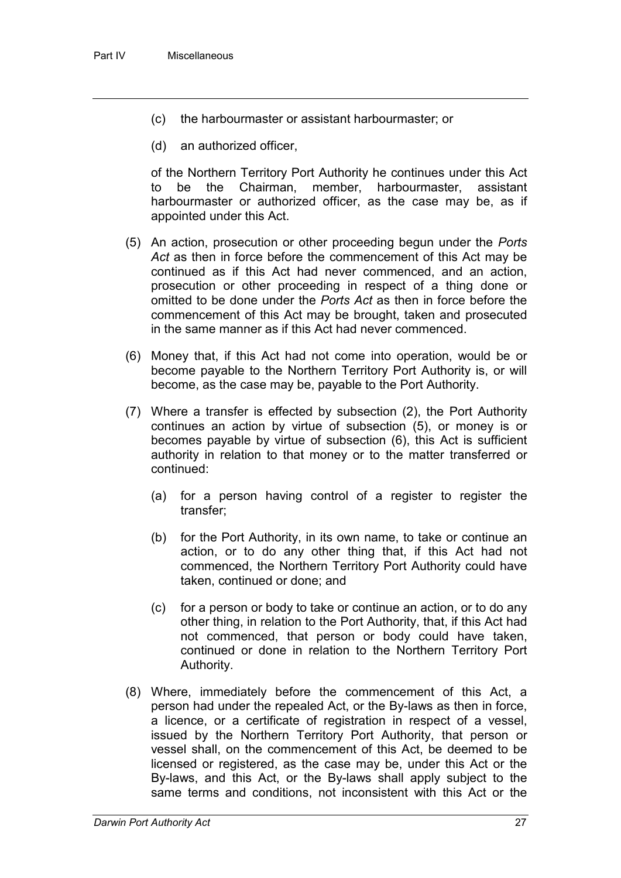- (c) the harbourmaster or assistant harbourmaster; or
- (d) an authorized officer,

of the Northern Territory Port Authority he continues under this Act to be the Chairman, member, harbourmaster, assistant harbourmaster or authorized officer, as the case may be, as if appointed under this Act.

- (5) An action, prosecution or other proceeding begun under the *Ports Act* as then in force before the commencement of this Act may be continued as if this Act had never commenced, and an action, prosecution or other proceeding in respect of a thing done or omitted to be done under the *Ports Act* as then in force before the commencement of this Act may be brought, taken and prosecuted in the same manner as if this Act had never commenced.
- (6) Money that, if this Act had not come into operation, would be or become payable to the Northern Territory Port Authority is, or will become, as the case may be, payable to the Port Authority.
- (7) Where a transfer is effected by subsection (2), the Port Authority continues an action by virtue of subsection (5), or money is or becomes payable by virtue of subsection (6), this Act is sufficient authority in relation to that money or to the matter transferred or continued:
	- (a) for a person having control of a register to register the transfer;
	- (b) for the Port Authority, in its own name, to take or continue an action, or to do any other thing that, if this Act had not commenced, the Northern Territory Port Authority could have taken, continued or done; and
	- (c) for a person or body to take or continue an action, or to do any other thing, in relation to the Port Authority, that, if this Act had not commenced, that person or body could have taken, continued or done in relation to the Northern Territory Port Authority.
- (8) Where, immediately before the commencement of this Act, a person had under the repealed Act, or the By-laws as then in force, a licence, or a certificate of registration in respect of a vessel, issued by the Northern Territory Port Authority, that person or vessel shall, on the commencement of this Act, be deemed to be licensed or registered, as the case may be, under this Act or the By-laws, and this Act, or the By-laws shall apply subject to the same terms and conditions, not inconsistent with this Act or the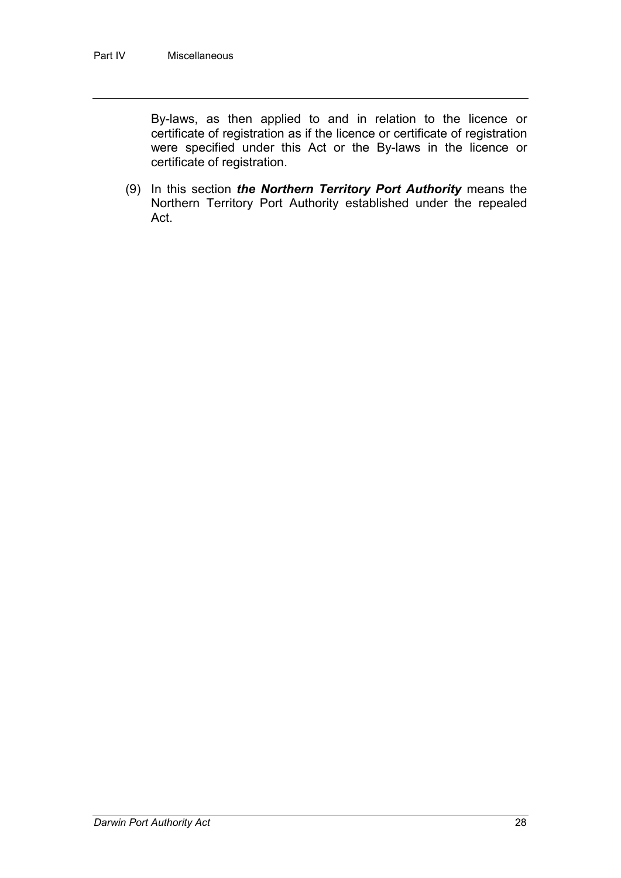By-laws, as then applied to and in relation to the licence or certificate of registration as if the licence or certificate of registration were specified under this Act or the By-laws in the licence or certificate of registration.

(9) In this section *the Northern Territory Port Authority* means the Northern Territory Port Authority established under the repealed Act.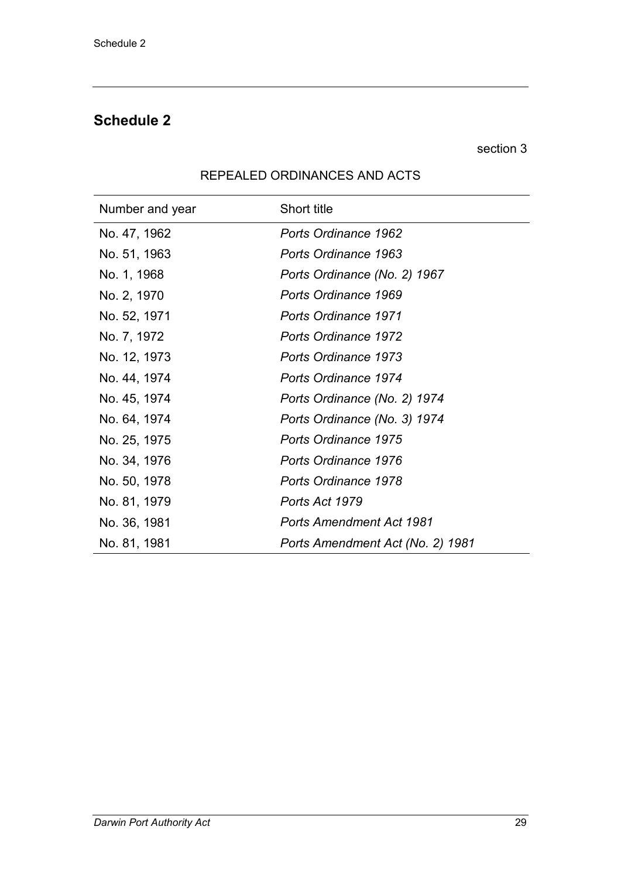# **Schedule 2**

section 3

| Number and year | <b>Short title</b>               |
|-----------------|----------------------------------|
| No. 47, 1962    | Ports Ordinance 1962             |
| No. 51, 1963    | Ports Ordinance 1963             |
| No. 1, 1968     | Ports Ordinance (No. 2) 1967     |
| No. 2, 1970     | Ports Ordinance 1969             |
| No. 52, 1971    | <b>Ports Ordinance 1971</b>      |
| No. 7, 1972     | <b>Ports Ordinance 1972</b>      |
| No. 12, 1973    | <b>Ports Ordinance 1973</b>      |
| No. 44, 1974    | Ports Ordinance 1974             |
| No. 45, 1974    | Ports Ordinance (No. 2) 1974     |
| No. 64, 1974    | Ports Ordinance (No. 3) 1974     |
| No. 25, 1975    | <b>Ports Ordinance 1975</b>      |
| No. 34, 1976    | Ports Ordinance 1976             |
| No. 50, 1978    | Ports Ordinance 1978             |
| No. 81, 1979    | Ports Act 1979                   |
| No. 36, 1981    | <b>Ports Amendment Act 1981</b>  |
| No. 81, 1981    | Ports Amendment Act (No. 2) 1981 |

# REPEALED ORDINANCES AND ACTS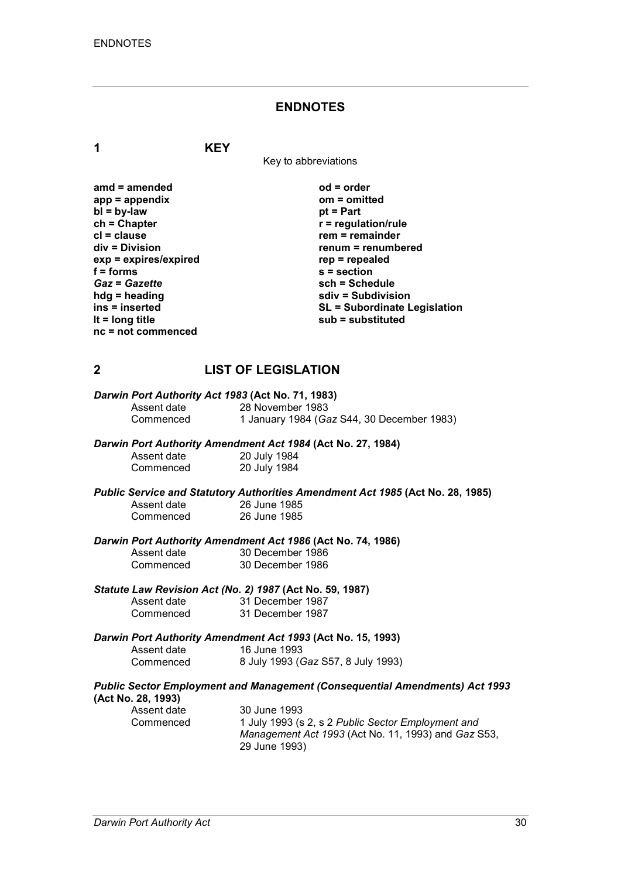#### **ENDNOTES**

**1 KEY**

Key to abbreviations

amd = amended od = order<br>
app = appendix
app = order
app = appendix
app = order
app = order
app = order
app = order
app = order
app = order
app = order
app = order
app = order
app = order
app = order
app = order
app = orde app = appendix om = om<br>bl = by-law bt = Part **bl** = by-law<br>ch = Chapter **ch = Chapter r** = regulation/rule<br> **cl** = clause **r** = clause **r** = remainder **cl** = clause **rem** = remainder<br> **div** = Division **remainder**<br> **renum** = renumb  $exp = expires/expired$ <br>**f** = forms f = forms <br>
Gaz = Gazette <br>
sch = Sche *Gaz* = *Gazette* **sch = Schedule**<br> **hdg** = heading **sch** = Subdivision **sch** = Subdivision **hdg = heading sdiv = Subdivision nc = not commenced**

**renum = renumbered**<br>rep = repealed **ins = inserted SL = Subordinate Legislation lt = long title sub = substituted**

# **2 LIST OF LEGISLATION**

| Darwin Port Authority Act 1983 (Act No. 71, 1983) |                                                                                |
|---------------------------------------------------|--------------------------------------------------------------------------------|
| Assent date                                       | 28 November 1983                                                               |
| Commenced                                         | 1 January 1984 (Gaz S44, 30 December 1983)                                     |
|                                                   | Darwin Port Authority Amendment Act 1984 (Act No. 27, 1984)                    |
| Assent date                                       | 20 July 1984                                                                   |
| Commenced                                         | 20 July 1984                                                                   |
|                                                   | Public Service and Statutory Authorities Amendment Act 1985 (Act No. 28, 1985) |
| Assent date                                       | 26 June 1985                                                                   |
| Commenced                                         | 26 June 1985                                                                   |
|                                                   | Darwin Port Authority Amendment Act 1986 (Act No. 74, 1986)                    |
| Assent date                                       | 30 December 1986                                                               |
| Commenced                                         | 30 December 1986                                                               |
|                                                   | Statute Law Revision Act (No. 2) 1987 (Act No. 59, 1987)                       |
| Accont dato                                       | 31 December 1087                                                               |

| Assent date | 31 December 1987 |
|-------------|------------------|
| Commenced   | 31 December 1987 |

#### *Darwin Port Authority Amendment Act 1993* **(Act No. 15, 1993)**

| Assent date | 16 June 1993                       |
|-------------|------------------------------------|
| Commenced   | 8 July 1993 (Gaz S57, 8 July 1993) |

#### *Public Sector Employment and Management (Consequential Amendments) Act 1993* **(Act No. 28, 1993)**

| Assent date | 30 June 1993   |
|-------------|----------------|
| Commenced   | 1 July 1993 (s |
|             | Mananement     |

Commenced 1 July 1993 (s 2, s 2 *Public Sector Employment and Management Act 1993* (Act No. 11, 1993) and *Gaz* S53, 29 June 1993)